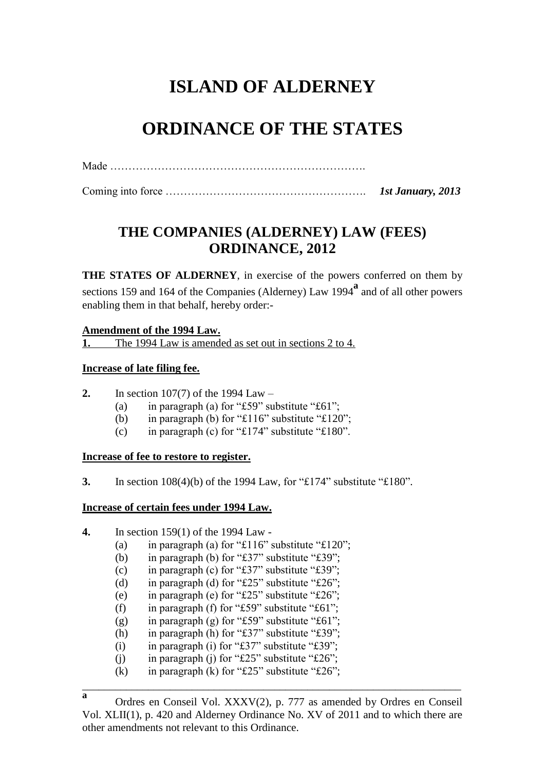# **ISLAND OF ALDERNEY**

# **ORDINANCE OF THE STATES**

Made …………………………………………………………….

Coming into force ………………………………………………. *1st January, 2013* 

# **THE COMPANIES (ALDERNEY) LAW (FEES) ORDINANCE, 2012**

**THE STATES OF ALDERNEY**, in exercise of the powers conferred on them by sections 159 and 164 of the Companies (Alderney) Law 1994**<sup>a</sup>** and of all other powers enabling them in that behalf, hereby order:-

#### **Amendment of the 1994 Law.**

**1.** The 1994 Law is amended as set out in sections 2 to 4.

#### **Increase of late filing fee.**

- **2.** In section 107(7) of the 1994 Law
	- (a) in paragraph (a) for "£59" substitute " $£61$ ";
	- (b) in paragraph (b) for " $£116$ " substitute " $£120$ ";
	- (c) in paragraph (c) for " $\pounds$ 174" substitute " $\pounds$ 180".

#### **Increase of fee to restore to register.**

**3.** In section 108(4)(b) of the 1994 Law, for "£174" substitute "£180".

#### **Increase of certain fees under 1994 Law.**

- **4.** In section 159(1) of the 1994 Law
	- (a) in paragraph (a) for "£116" substitute " $£120$ ";
	- (b) in paragraph (b) for " $\pounds 37$ " substitute " $\pounds 39$ ";
	- (c) in paragraph (c) for "£37" substitute " $£39"$ ;
	- (d) in paragraph (d) for " $£25"$  substitute " $£26"$ ;
	- (e) in paragraph (e) for "£25" substitute "£26";
	- (f) in paragraph (f) for "£59" substitute " $£61$ ";
	- (g) in paragraph (g) for "£59" substitute " $£61"$ ;
	- (h) in paragraph (h) for "£37" substitute "£39";
	- (i) in paragraph (i) for " $\pounds 37$ " substitute " $\pounds 39$ ";
	- (i) in paragraph (j) for " $£25$ " substitute " $£26$ ";
	- (k) in paragraph (k) for " $£25$ " substitute " $£26$ ";

\_\_\_\_\_\_\_\_\_\_\_\_\_\_\_\_\_\_\_\_\_\_\_\_\_\_\_\_\_\_\_\_\_\_\_\_\_\_\_\_\_\_\_\_\_\_\_\_\_\_\_\_\_\_\_\_\_\_\_\_\_\_\_\_\_\_\_\_\_

**a** Ordres en Conseil Vol. XXXV(2), p. 777 as amended by Ordres en Conseil Vol. XLII(1), p. 420 and Alderney Ordinance No. XV of 2011 and to which there are other amendments not relevant to this Ordinance.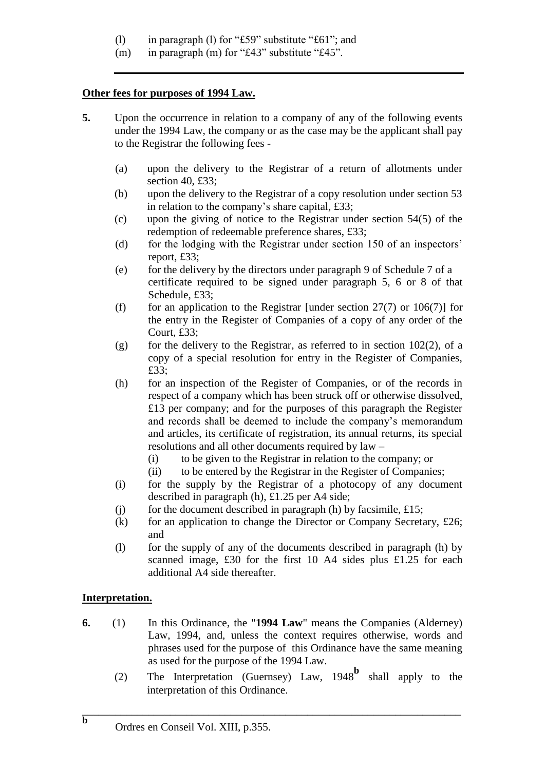- (l) in paragraph (l) for "£59" substitute "£61"; and
- (m) in paragraph (m) for "£43" substitute "£45".

### **Other fees for purposes of 1994 Law.**

- **5.** Upon the occurrence in relation to a company of any of the following events under the 1994 Law, the company or as the case may be the applicant shall pay to the Registrar the following fees -
	- (a) upon the delivery to the Registrar of a return of allotments under section 40, £33:
	- (b) upon the delivery to the Registrar of a copy resolution under section 53 in relation to the company's share capital, £33;
	- (c) upon the giving of notice to the Registrar under section 54(5) of the redemption of redeemable preference shares, £33;
	- (d) for the lodging with the Registrar under section 150 of an inspectors' report, £33;
	- (e) for the delivery by the directors under paragraph 9 of Schedule 7 of a certificate required to be signed under paragraph 5, 6 or 8 of that Schedule, £33;
	- (f) for an application to the Registrar [under section  $27(7)$  or  $106(7)$ ] for the entry in the Register of Companies of a copy of any order of the Court, £33;
	- (g) for the delivery to the Registrar, as referred to in section  $102(2)$ , of a copy of a special resolution for entry in the Register of Companies, £33;
	- (h) for an inspection of the Register of Companies, or of the records in respect of a company which has been struck off or otherwise dissolved, £13 per company; and for the purposes of this paragraph the Register and records shall be deemed to include the company's memorandum and articles, its certificate of registration, its annual returns, its special resolutions and all other documents required by law –
		- (i) to be given to the Registrar in relation to the company; or
		- (ii) to be entered by the Registrar in the Register of Companies;
	- (i) for the supply by the Registrar of a photocopy of any document described in paragraph (h), £1.25 per A4 side;
	- (i) for the document described in paragraph (h) by facsimile,  $£15$ ;
	- (k) for an application to change the Director or Company Secretary,  $£26;$ and
	- (l) for the supply of any of the documents described in paragraph (h) by scanned image, £30 for the first 10 A4 sides plus £1.25 for each additional A4 side thereafter.

### **Interpretation.**

- **6.** (1) In this Ordinance, the "**1994 Law**" means the Companies (Alderney) Law, 1994, and, unless the context requires otherwise, words and phrases used for the purpose of this Ordinance have the same meaning as used for the purpose of the 1994 Law.
	- (2) The Interpretation (Guernsey) Law, 1948**<sup>b</sup>** shall apply to the interpretation of this Ordinance.